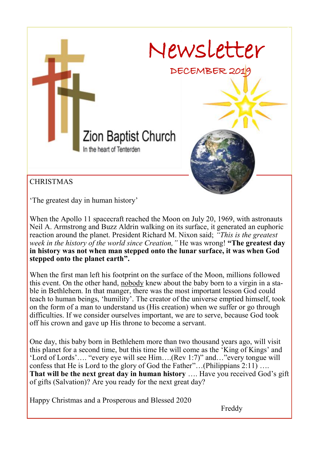

'The greatest day in human history'

When the Apollo 11 spacecraft reached the Moon on July 20, 1969, with astronauts Neil A. Armstrong and Buzz Aldrin walking on its surface, it generated an euphoric reaction around the planet. President Richard M. Nixon said; *"This is the greatest week in the history of the world since Creation,"* He was wrong! **"The greatest day in history was not when man stepped onto the lunar surface, it was when God stepped onto the planet earth".**

When the first man left his footprint on the surface of the Moon, millions followed this event. On the other hand, nobody knew about the baby born to a virgin in a stable in Bethlehem. In that manger, there was the most important lesson God could teach to human beings, 'humility'. The creator of the universe emptied himself, took on the form of a man to understand us (His creation) when we suffer or go through difficulties. If we consider ourselves important, we are to serve, because God took off his crown and gave up His throne to become a servant.

One day, this baby born in Bethlehem more than two thousand years ago, will visit this planet for a second time, but this time He will come as the 'King of Kings' and 'Lord of Lords'…. "every eye will see Him….(Rev 1:7)" and…"every tongue will confess that He is Lord to the glory of God the Father"…(Philippians 2:11) …. **That will be the next great day in human history** …. Have you received God's gift of gifts (Salvation)? Are you ready for the next great day?

Happy Christmas and a Prosperous and Blessed 2020

Freddy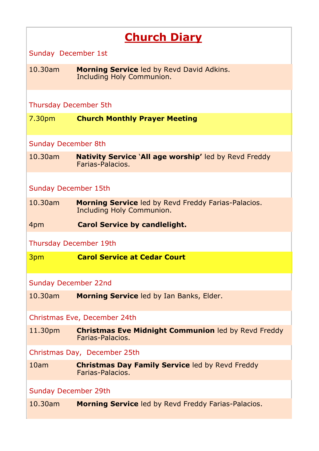# **Church Diary**

Sunday December 1st

10.30am **Morning Service** led by Revd David Adkins. Including Holy Communion.

Thursday December 5th

7.30pm **Church Monthly Prayer Meeting**

Sunday December 8th

10.30am **Nativity Service** '**All age worship'** led by Revd Freddy Farias-Palacios.

Sunday December 15th

- 10.30am **Morning Service** led by Revd Freddy Farias-Palacios. Including Holy Communion.
- 4pm **Carol Service by candlelight.**

Thursday December 19th

3pm **Carol Service at Cedar Court**

Sunday December 22nd

10.30am **Morning Service** led by Ian Banks, Elder.

Christmas Eve, December 24th

11.30pm **Christmas Eve Midnight Communion** led by Revd Freddy Farias-Palacios.

Christmas Day, December 25th

10am **Christmas Day Family Service** led by Revd Freddy Farias-Palacios.

#### Sunday December 29th

10.30am **Morning Service** led by Revd Freddy Farias-Palacios.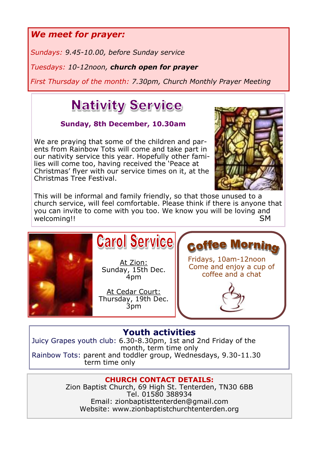*We meet for prayer:*

*Sundays: 9.45-10.00, before Sunday service*

*Tuesdays: 10-12noon, church open for prayer*

*First Thursday of the month: 7.30pm, Church Monthly Prayer Meeting*

# **Nativity Service**

# **Sunday, 8th December, 10.30am**

We are praying that some of the children and parents from Rainbow Tots will come and take part in our nativity service this year. Hopefully other families will come too, having received the 'Peace at Christmas' flyer with our service times on it, at the Christmas Tree Festival.



This will be informal and family friendly, so that those unused to a church service, will feel comfortable. Please think if there is anyone that you can invite to come with you too. We know you will be loving and welcoming!!SM



At Zion: Sunday, 15th Dec. 4pm

At Cedar Court: Thursday, 19th Dec. 3pm

Fridays, 10am-12noon Come and enjoy a cup of coffee and a chat

coffee Mornin

# **Youth activities**

Juicy Grapes youth club: 6.30-8.30pm, 1st and 2nd Friday of the month, term time only Rainbow Tots: parent and toddler group, Wednesdays, 9.30-11.30 term time only

## **CHURCH CONTACT DETAILS:**

Zion Baptist Church, 69 High St. Tenterden, TN30 6BB Tel. 01580 388934 Email: zionbaptisttenterden@gmail.com Website: www.zionbaptistchurchtenterden.org